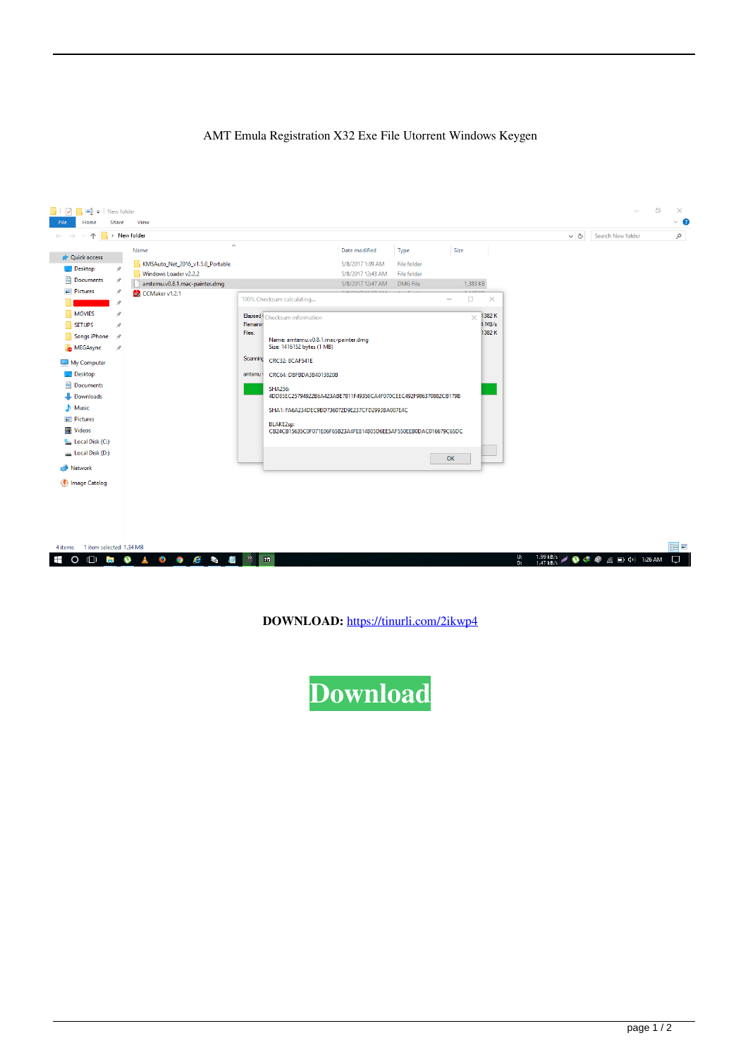## AMT Emula Registration X32 Exe File Utorrent Windows Keygen



| 4 items 1 item selected 1.34 MB |  |  |  |                                                                               |  |
|---------------------------------|--|--|--|-------------------------------------------------------------------------------|--|
| HOODOAOO C & DI TI              |  |  |  | $\frac{U:}{D}$ 1.99 kB/s $\neq$ 0 $\infty$ $\infty$ ( $\infty$ 1.26 AM $\Box$ |  |

**DOWNLOAD:** <https://tinurli.com/2ikwp4>